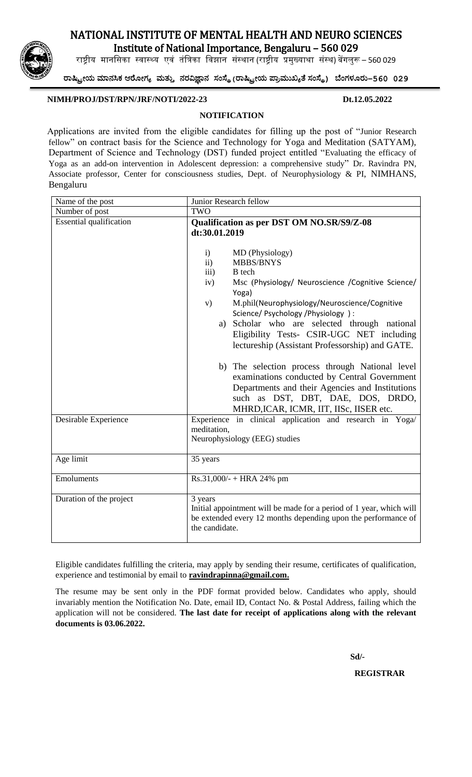## NATIONAL INSTITUTE OF MENTAL HEALTH AND NEURO SCIENCES

Institute of National Importance, Bengaluru – 560 029

राष्ट्रीय मानसिका स्वास्थ्य एवं तंत्रिका विझान संस्थान (राष्ट्रीय प्रमुख्याथा संस्थ) बेंगलुरू – 560 029

ರಾಷ್ಟ್ರೀಯ ಮಾನಸಿಕ ಆರ ೀಗ್ಯ ಮತ್ತು ನರವಿಜ್ಞಾನ ಸಂಸ್ಥೆ**(**ರಾಷ್ಟ್ರೀಯ ಪ್ಾಾಮತಖ್ಯತೆ ಸಂಸ್ಥೆ**)** ಬಂಗ್ಳ ರತ**–560 029**

### **NIMH/PROJ/DST/RPN/JRF/NOTI/2022-23 Dt.12.05.2022**

### **NOTIFICATION**

Applications are invited from the eligible candidates for filling up the post of "Junior Research fellow" on contract basis for the Science and Technology for Yoga and Meditation (SATYAM), Department of Science and Technology (DST) funded project entitled "Evaluating the efficacy of Yoga as an add-on intervention in Adolescent depression: a comprehensive study" Dr. Ravindra PN, Associate professor, Center for consciousness studies, Dept. of Neurophysiology & PI, NIMHANS, Bengaluru

| Name of the post               | Junior Research fellow                                                                                                                                                                                                                                                                                                                                                                                                                                                                                                                                                                                                                                      |  |  |  |
|--------------------------------|-------------------------------------------------------------------------------------------------------------------------------------------------------------------------------------------------------------------------------------------------------------------------------------------------------------------------------------------------------------------------------------------------------------------------------------------------------------------------------------------------------------------------------------------------------------------------------------------------------------------------------------------------------------|--|--|--|
| Number of post                 | TWO                                                                                                                                                                                                                                                                                                                                                                                                                                                                                                                                                                                                                                                         |  |  |  |
| <b>Essential</b> qualification | Qualification as per DST OM NO.SR/S9/Z-08<br>dt:30.01.2019                                                                                                                                                                                                                                                                                                                                                                                                                                                                                                                                                                                                  |  |  |  |
|                                | $\mathbf{i}$<br>MD (Physiology)<br>$\mathbf{ii}$<br><b>MBBS/BNYS</b><br>iii)<br><b>B</b> tech<br>Msc (Physiology/ Neuroscience / Cognitive Science/<br>iv)<br>Yoga)<br>M.phil(Neurophysiology/Neuroscience/Cognitive<br>V)<br>Science/ Psychology / Physiology ) :<br>Scholar who are selected through national<br>a)<br>Eligibility Tests- CSIR-UGC NET including<br>lectureship (Assistant Professorship) and GATE.<br>b) The selection process through National level<br>examinations conducted by Central Government<br>Departments and their Agencies and Institutions<br>such as DST, DBT, DAE, DOS, DRDO,<br>MHRD, ICAR, ICMR, IIT, IISc, IISER etc. |  |  |  |
| Desirable Experience           | Experience in clinical application and research in Yoga/<br>meditation.<br>Neurophysiology (EEG) studies                                                                                                                                                                                                                                                                                                                                                                                                                                                                                                                                                    |  |  |  |
| Age limit                      | 35 years                                                                                                                                                                                                                                                                                                                                                                                                                                                                                                                                                                                                                                                    |  |  |  |
| Emoluments                     | $Rs.31,000/- + HRA 24%$ pm                                                                                                                                                                                                                                                                                                                                                                                                                                                                                                                                                                                                                                  |  |  |  |
| Duration of the project        | 3 years<br>Initial appointment will be made for a period of 1 year, which will<br>be extended every 12 months depending upon the performance of<br>the candidate.                                                                                                                                                                                                                                                                                                                                                                                                                                                                                           |  |  |  |

Eligible candidates fulfilling the criteria, may apply by sending their resume, certificates of qualification, experience and testimonial by email to **ravindrapinna@gmail.com.**

The resume may be sent only in the PDF format provided below. Candidates who apply, should invariably mention the Notification No. Date, email ID, Contact No. & Postal Address, failing which the application will not be considered. **The last date for receipt of applications along with the relevant documents is 03.06.2022.**

 **Sd/-**

 **REGISTRAR**